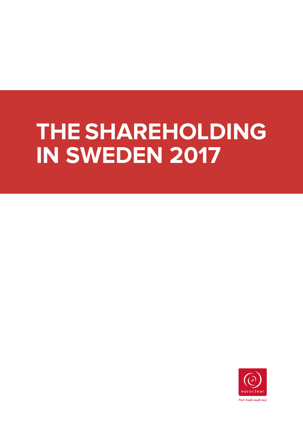# **THE SHAREHOLDING IN SWEDEN 2017**

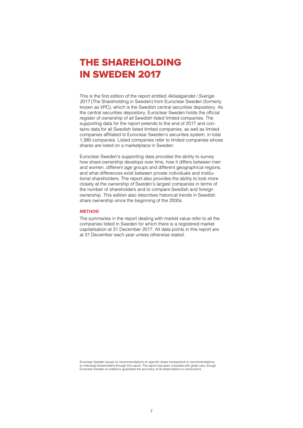## THE SHAREHOLDING IN SWEDEN 2017

This is the first edition of the report entitled *Aktieägandet i Sverige 2017* (The Shareholding in Sweden) from Euroclear Sweden (formerly known as VPC), which is the Swedish central securities depository. As the central securities depository, Euroclear Sweden holds the official register of ownership of all Swedish listed limited companies. The supporting data for the report extends to the end of 2017 and contains data for all Swedish listed limited companies, as well as limited companies affiliated to Euroclear Sweden's securities system, in total 1,380 companies. Listed companies refer to limited companies whose shares are listed on a marketplace in Sweden.

Euroclear Sweden's supporting data provides the ability to survey how share ownership develops over time, how it differs between men and women, different age groups and different geographical regions, and what differences exist between private individuals and institutional shareholders. The report also provides the ability to look more closely at the ownership of Sweden's largest companies in terms of the number of shareholders and to compare Swedish and foreign ownership. This edition also describes historical trends in Swedish share ownership since the beginning of the 2000s.

#### **METHOD**

The summaries in the report dealing with market value refer to all the companies listed in Sweden for which there is a registered market capitalisation at 31 December 2017. All data points in this report are at 31 December each year unless otherwise stated.

Euroclear Sweden issues no recommendations on specific share transactions or recommendations to individual shareholders through this report. The report has been compiled with great care, though Euroclear Sweden is unable to guarantee the accuracy of all observations or conclusions.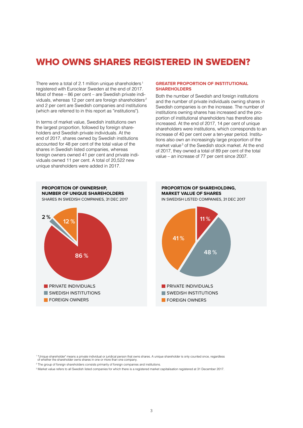## WHO OWNS SHARES REGISTERED IN SWEDEN?

There were a total of 2.1 million unique shareholders<sup>1</sup> registered with Euroclear Sweden at the end of 2017. Most of these – 86 per cent – are Swedish private individuals, whereas 12 per cent are foreign shareholders<sup>2</sup> and 2 per cent are Swedish companies and institutions (which are referred to in this report as "institutions").

In terms of market value, Swedish institutions own the largest proportion, followed by foreign shareholders and Swedish private individuals. At the end of 2017, shares owned by Swedish institutions accounted for 48 per cent of the total value of the shares in Swedish listed companies, whereas foreign owners owned 41 per cent and private individuals owned 11 per cent. A total of 20,522 new unique shareholders were added in 2017.

#### **GREATER PROPORTION OF INSTITUTIONAL SHAREHOLDERS**

Both the number of Swedish and foreign institutions and the number of private individuals owning shares in Swedish companies is on the increase. The number of institutions owning shares has increased and the proportion of institutional shareholders has therefore also increased. At the end of 2017, 14 per cent of unique shareholders were institutions, which corresponds to an increase of 40 per cent over a ten-year period. Institutions also own an increasingly large proportion of the market value<sup>3</sup> of the Swedish stock market. At the end of 2017, they owned a total of 89 per cent of the total value – an increase of 77 per cent since 2007.



1 "Unique shareholder" means a private individual or juridical person that owns shares. A unique shareholder is only counted once, regardless of whether the shareholder owns shares in one or more than one company.

- 2 The group of foreign shareholders consists primarily of foreign companies and institutions.
- 3 Market value refers to all Swedish listed companies for which there is a registered market capitalisation registered at 31 December 2017.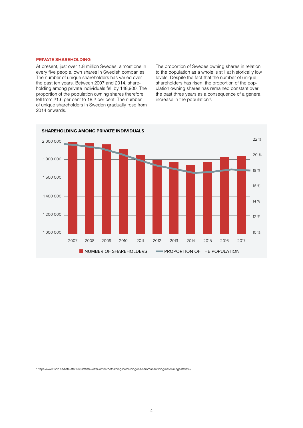#### **PRIVATE SHAREHOLDING**

At present, just over 1.8 million Swedes, almost one in every five people, own shares in Swedish companies. The number of unique shareholders has varied over the past ten years. Between 2007 and 2014, shareholding among private individuals fell by 148,900. The proportion of the population owning shares therefore fell from 21.6 per cent to 18.2 per cent. The number of unique shareholders in Sweden gradually rose from 2014 onwards.

The proportion of Swedes owning shares in relation to the population as a whole is still at historically low levels. Despite the fact that the number of unique shareholders has risen, the proportion of the population owning shares has remained constant over the past three years as a consequence of a general increase in the population<sup>4</sup>.



4 https://www.scb.se/hitta-statistik/statistik-efter-amne/befolkning/befolkningens-sammansattning/befolkningsstatistik/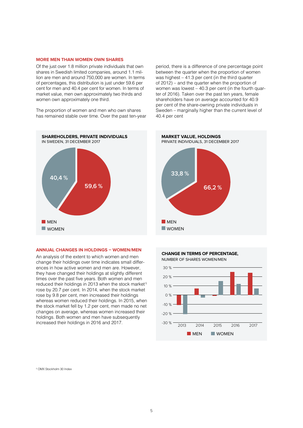#### **MORE MEN THAN WOMEN OWN SHARES**

Of the just over 1.8 million private individuals that own shares in Swedish limited companies, around 1.1 million are men and around 750,000 are women. In terms of percentages, this distribution is just under 59.6 per cent for men and 40.4 per cent for women. In terms of market value, men own approximately two thirds and women own approximately one third.

The proportion of women and men who own shares has remained stable over time. Over the past ten-year



#### **ANNUAL CHANGES IN HOLDINGS – WOMEN/MEN**

An analysis of the extent to which women and men change their holdings over time indicates small differences in how active women and men are. However, they have changed their holdings at slightly different times over the past five years. Both women and men reduced their holdings in 2013 when the stock market<sup>5</sup> rose by 20.7 per cent. In 2014, when the stock market rose by 9.8 per cent, men increased their holdings whereas women reduced their holdings. In 2015, when the stock market fell by 1.2 per cent, men made no net changes on average, whereas women increased their holdings. Both women and men have subsequently increased their holdings in 2016 and 2017.

period, there is a difference of one percentage point between the quarter when the proportion of women was highest – 41.3 per cent (in the third quarter of 2012) – and the quarter when the proportion of women was lowest – 40.3 per cent (in the fourth quarter of 2016). Taken over the past ten years, female shareholders have on average accounted for 40.9 per cent of the share-owning private individuals in Sweden – marginally higher than the current level of 40.4 per cent







5 OMX Stockholm 30 Index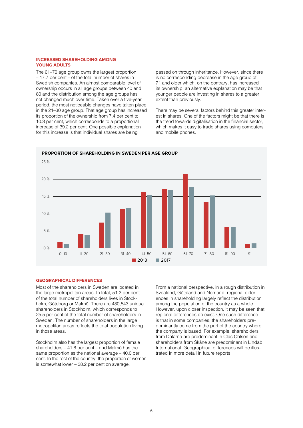#### **INCREASED SHAREHOLDING AMONG YOUNG ADULTS**

The 61–70 age group owns the largest proportion – 17.7 per cent – of the total number of shares in Swedish companies. An almost comparable level of ownership occurs in all age groups between 40 and 80 and the distribution among the age groups has not changed much over time. Taken over a five-year period, the most noticeable changes have taken place in the 21–30 age group. That age group has increased its proportion of the ownership from 7.4 per cent to 10.3 per cent, which corresponds to a proportional increase of 39.2 per cent. One possible explanation for this increase is that individual shares are being

passed on through inheritance. However, since there is no corresponding decrease in the age group of 71 and older which, on the contrary, has increased its ownership, an alternative explanation may be that younger people are investing in shares to a greater extent than previously.

There may be several factors behind this greater interest in shares. One of the factors might be that there is the trend towards digitalisation in the financial sector, which makes it easy to trade shares using computers and mobile phones.



#### **GEOGRAPHICAL DIFFERENCES**

Most of the shareholders in Sweden are located in the large metropolitan areas. In total, 51.2 per cent of the total number of shareholders lives in Stockholm, Göteborg or Malmö. There are 480,543 unique shareholders in Stockholm, which corresponds to 25.5 per cent of the total number of shareholders in Sweden. The number of shareholders in the large metropolitan areas reflects the total population living in those areas.

Stockholm also has the largest proportion of female shareholders – 41.6 per cent – and Malmö has the same proportion as the national average – 40.0 per cent. In the rest of the country, the proportion of women is somewhat lower – 38.2 per cent on average.

From a national perspective, in a rough distribution in Svealand, Götaland and Norrland, regional differences in shareholding largely reflect the distribution among the population of the country as a whole. However, upon closer inspection, it may be seen that regional differences do exist. One such difference is that in some companies, the shareholders predominantly come from the part of the country where the company is based. For example, shareholders from Dalarna are predominant in Clas Ohlson and shareholders from Skåne are predominant in Lindab International. Geographical differences will be illustrated in more detail in future reports.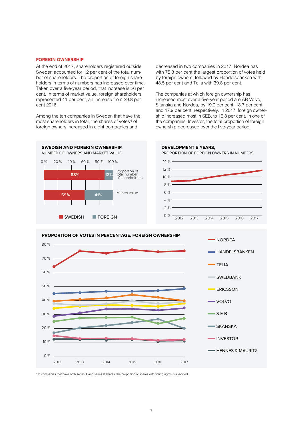#### **FOREIGN OWNERSHIP**

At the end of 2017, shareholders registered outside Sweden accounted for 12 per cent of the total number of shareholders. The proportion of foreign shareholders in terms of numbers has increased over time. Taken over a five-year period, that increase is 26 per cent. In terms of market value, foreign shareholders represented 41 per cent, an increase from 39.8 per cent 2016.

Among the ten companies in Sweden that have the most shareholders in total, the shares of votes<sup>6</sup> of foreign owners increased in eight companies and

decreased in two companies in 2017. Nordea has with 75.8 per cent the largest proportion of votes held by foreign owners, followed by Handelsbanken with 48.5 per cent and Telia with 39.8 per cent.

The companies at which foreign ownership has increased most over a five-year period are AB Volvo, Skanska and Nordea, by 19.9 per cent, 18.7 per cent and 17.9 per cent, respectively. In 2017, foreign ownership increased most in SEB, to 16.8 per cent. In one of the companies, Investor, the total proportion of foreign ownership decreased over the five-year period.





<sup>6</sup> In companies that have both series A and series B shares, the proportion of shares with voting rights is specified.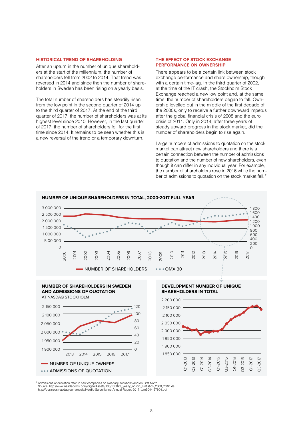#### **HISTORICAL TREND OF SHAREHOLDING**

After an upturn in the number of unique shareholders at the start of the millennium, the number of shareholders fell from 2002 to 2014. That trend was reversed in 2014 and since then the number of shareholders in Sweden has been rising on a yearly basis.

The total number of shareholders has steadily risen from the low point in the second quarter of 2014 up to the third quarter of 2017. At the end of the third quarter of 2017, the number of shareholders was at its highest level since 2010. However, in the last quarter of 2017, the number of shareholders fell for the first time since 2014. It remains to be seen whether this is a new reversal of the trend or a temporary downturn.

#### **THE EFFECT OF STOCK EXCHANGE PERFORMANCE ON OWNERSHIP**

There appears to be a certain link between stock exchange performance and share ownership, though with a certain time-lag. In the third quarter of 2002, at the time of the IT crash, the Stockholm Stock Exchange reached a new low point and, at the same time, the number of shareholders began to fall. Ownership levelled out in the middle of the first decade of the 2000s, only to receive a further downward impetus after the global financial crisis of 2008 and the euro crisis of 2011. Only in 2014, after three years of steady upward progress in the stock market, did the number of shareholders begin to rise again.

Large numbers of admissions to quotation on the stock market can attract new shareholders and there is a certain connection between the number of admissions to quotation and the number of new shareholders, even though it can differ in any individual year. For example, the number of shareholders rose in 2016 while the number of admissions to quotation on the stock market fell.<sup>7</sup>



7 Admissions of quotation refer to new companies on Nasdaq Stockholm and on First North.<br>Source: http://www.nasdaqomx.com/digitalAssets/105/105029\_yearly\_nordic\_statistics\_2000\_2016.xls<br>http://business.nasdaq.com/media/Nor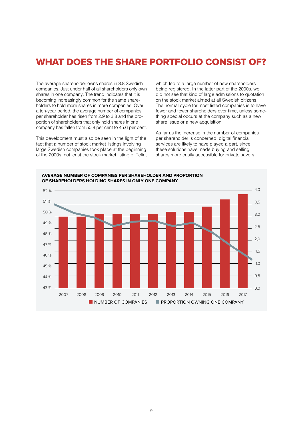## WHAT DOES THE SHARE PORTFOLIO CONSIST OF?

The average shareholder owns shares in 3.8 Swedish companies. Just under half of all shareholders only own shares in one company. The trend indicates that it is becoming increasingly common for the same shareholders to hold more shares in more companies. Over a ten-year period, the average number of companies per shareholder has risen from 2.9 to 3.8 and the proportion of shareholders that only hold shares in one company has fallen from 50.8 per cent to 45.6 per cent.

This development must also be seen in the light of the fact that a number of stock market listings involving large Swedish companies took place at the beginning of the 2000s, not least the stock market listing of Telia, which led to a large number of new shareholders being registered. In the latter part of the 2000s, we did not see that kind of large admissions to quotation on the stock market aimed at all Swedish citizens. The normal cycle for most listed companies is to have fewer and fewer shareholders over time, unless something special occurs at the company such as a new share issue or a new acquisition.

As far as the increase in the number of companies per shareholder is concerned, digital financial services are likely to have played a part, since these solutions have made buying and selling shares more easily accessible for private savers.



**AVERAGE NUMBER OF COMPANIES PER SHAREHOLDER AND PROPORTION**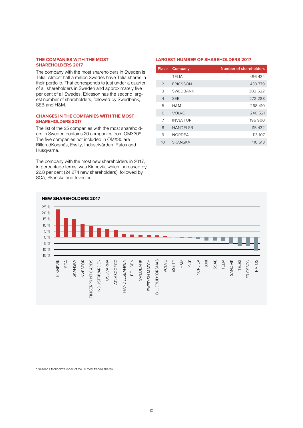#### **THE COMPANIES WITH THE MOST SHAREHOLDERS 2017**

The company with the most shareholders in Sweden is Telia. Almost half a million Swedes have Telia shares in their portfolio. That corresponds to just under a quarter of all shareholders in Sweden and approximately five per cent of all Swedes. Ericsson has the second largest number of shareholders, followed by Swedbank, SEB and H&M.

### **CHANGES IN THE COMPANIES WITH THE MOST SHAREHOLDERS 2017**

The list of the 25 companies with the most shareholders in Sweden contains 20 companies from OMX30<sup>8</sup>. The five companies not included in OMX30 are BillerudKorsnäs, Essity, Industrivärden, Ratos and Husqvarna.

The company with the most new shareholders in 2017, in percentage terms, was Kinnevik, which increased by 22.8 per cent (24,274 new shareholders), followed by SCA, Skanska and Investor.

#### **LARGEST NUMBER OF SHAREHOLDERS 2017**

| Place          | Company         | <b>Number of shareholders</b> |
|----------------|-----------------|-------------------------------|
| 1              | TELIA           | 496 434                       |
| $\mathfrak{D}$ | ERICSSON        | 433 779                       |
| 3              | <b>SWEDBANK</b> | 302 522                       |
| $\overline{4}$ | <b>SEB</b>      | 272 288                       |
| 5              | H&M             | 268 410                       |
| 6              | <b>VOLVO</b>    | 240 521                       |
| 7              | <b>INVESTOR</b> | 196 900                       |
| 8              | <b>HANDELSB</b> | 115 432                       |
| 9              | <b>NORDEA</b>   | 113 107                       |
| 10             | <b>SKANSKA</b>  | 110 618                       |



<sup>8</sup> Nasdaq Stockholm's index of the 30 most traded shares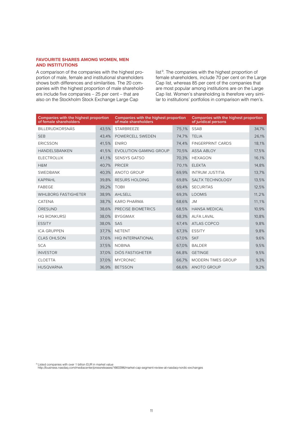#### **FAVOURITE SHARES AMONG WOMEN, MEN AND INSTITUTIONS**

A comparison of the companies with the highest proportion of male, female and institutional shareholders shows both differences and similarities. The 20 companies with the highest proportion of male shareholders include five companies – 25 per cent – that are also on the Stockholm Stock Exchange Large Cap

list<sup>9</sup>. The companies with the highest proportion of female shareholders, include 70 per cent on the Large Cap list, whereas 85 per cent of the companies that are most popular among institutions are on the Large Cap list. Women's shareholding is therefore very similar to institutions' portfolios in comparison with men's.

| Companies with the highest proportion<br>of female shareholders |       | <b>Companies with the highest proportion</b><br>of male shareholders |       | Companies with the highest proportion<br>of juridical persons |       |
|-----------------------------------------------------------------|-------|----------------------------------------------------------------------|-------|---------------------------------------------------------------|-------|
| <b>BILLERUDKORSNÄS</b>                                          | 43.5% | <b>STARBREEZE</b>                                                    | 75,1% | <b>SSAB</b>                                                   | 34.7% |
| <b>SEB</b>                                                      | 43.4% | POWERCELL SWEDEN                                                     | 74,7% | <b>TELIA</b>                                                  | 26,1% |
| ERICSSON                                                        | 41,5% | <b>ENIRO</b>                                                         | 74,4% | <b>FINGERPRINT CARDS</b>                                      | 18,1% |
| <b>HANDELSBANKEN</b>                                            | 41,5% | <b>EVOLUTION GAMING GROUP</b>                                        | 70,5% | <b>ASSA ABLOY</b>                                             | 17,5% |
| <b>ELECTROLUX</b>                                               | 41,1% | <b>SENSYS GATSO</b>                                                  | 70,3% | <b>HEXAGON</b>                                                | 16,1% |
| H&M                                                             | 40,7% | <b>PRICER</b>                                                        | 70,1% | <b>ELEKTA</b>                                                 | 14,8% |
| <b>SWEDBANK</b>                                                 | 40,3% | <b>ANOTO GROUP</b>                                                   | 69,9% | <b>INTRUM JUSTITIA</b>                                        | 13,7% |
| KAPPAHL                                                         | 39,8% | <b>RESURS HOLDING</b>                                                | 69,8% | SALTX TECHNOLOGY                                              | 13,5% |
| FABEGE                                                          | 39,2% | <b>TOBII</b>                                                         | 69,4% | <b>SECURITAS</b>                                              | 12,5% |
| <b>WIHLBORG FASTIGHETER</b>                                     | 38,9% | AHLSELL                                                              | 69,3% | <b>LOOMIS</b>                                                 | 11,2% |
| CATENA                                                          | 38,7% | <b>KARO PHARMA</b>                                                   | 68,6% | <b>JM</b>                                                     | 11,1% |
| ÖRESUND                                                         | 38,6% | PRECISE BIOMETRICS                                                   | 68,5% | <b>HANSA MEDICAL</b>                                          | 10,9% |
| <b>HQ (KONKURS)</b>                                             | 38,0% | <b>BYGGMAX</b>                                                       | 68,3% | <b>ALFA LAVAL</b>                                             | 10,8% |
| <b>ESSITY</b>                                                   | 38,0% | SAS                                                                  | 67,4% | ATLAS COPCO                                                   | 9,8%  |
| <b>ICA GRUPPEN</b>                                              | 37,7% | <b>NETENT</b>                                                        | 67,3% | <b>ESSITY</b>                                                 | 9.8%  |
| <b>CLAS OHLSON</b>                                              | 37,6% | <b>HIQ INTERNATIONAL</b>                                             | 67,0% | <b>SKF</b>                                                    | 9,6%  |
| <b>SCA</b>                                                      | 37,5% | <b>NOBINA</b>                                                        | 67,0% | <b>BALDER</b>                                                 | 9,5%  |
| <b>INVESTOR</b>                                                 | 37,0% | DIÖS FASTIGHETER                                                     | 66,8% | <b>GETINGE</b>                                                | 9,5%  |
| <b>CLOETTA</b>                                                  | 37,0% | <b>MYCRONIC</b>                                                      | 66,7% | <b>MODERN TIMES GROUP</b>                                     | 9,3%  |
| <b>HUSQVARNA</b>                                                | 36.9% | <b>BETSSON</b>                                                       | 66.6% | <b>ANOTO GROUP</b>                                            | 9,2%  |

9 Listed companies with over 1 billion EUR in market value

http://business.nasdaq.com/mediacenter/pressreleases/1660396/market-cap-segment-review-at-nasdaq-nordic-exchanges